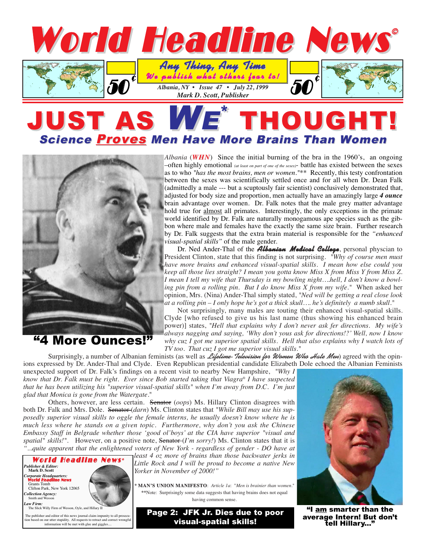

## JUST AS WE THOUGHT! **Science Proves Men Have More Brains Than Women**



"4 More Ounces!"

*Albania* (*WHN*) Since the initial burning of the bra in the 1960's, an ongoing  $-$ often highly emotional *(at least on part of one of the sexes*)- battle has existed between the sexes as to who *"has the most brains, men or women."*\*\* Recently, this testy confrontation between the sexes was scientifically settled once and for all when Dr. Dean Falk (admittedly a male --- but a scuptously fair scientist) conclusively demonstrated that, adjusted for body size and proportion, men actually have an amazingly large *4 ounce* brain advantage over women. Dr. Falk notes that the male grey matter advantage hold true for almost all primates. Interestingly, the only exceptions in the primate world identified by Dr. Falk are naturally monogamous ape species such as the gibbon where male and females have the exactly the same size brain. Further research by Dr. Falk suggests that the extra brain material is responsible for the *"enhanced visual-spatial skills"* of the male gender.

Dr. Ned Ander-Thal of the **Albanian Medical College**, personal physcian to President Clinton, state that this finding is not surprising. *"Why of course men must have more brains and enhanced visual-spatial skills. I mean how else could you keep all those lies straight? I mean you gotta know Miss X from Miss Y from Miss Z. I mean I tell my wife that Thursday is my bowling night….hell, I don't know a bowling pin from a rolling pin. But I do know Miss X from my wife."* When asked her opinion, Mrs. (Nina) Ander-Thal simply stated, *"Ned will be getting a real close look at a rolling pin – I only hope he's got a thick skull…. he's definitely a numb skull."*

Not surprisingly, many males are touting their enhanced visual-spatial skills. Clyde [who refused to give us his last name (thus showing his enhanced brain power)] states, *"Hell that explains why I don't never ask fer directions. My wife's always nagging and saying, 'Why don't yous ask for directions!?' Well, now I know why cuz I got me superior spatial skills. Hell that also explains why I watch lots of TV too. That cuz I got me superior visual skills."*

Surprisingly, a number of Albanian feminists (as well as *Lifetime-Television for Women Who Hate Men*) agreed with the opinions expressed by Dr. Ander-Thal and Clyde. Even Republican presidential candidate Elizabeth Dole echoed the Albanian Feminists

unexpected support of Dr. Falk's findings on a recent visit to nearby New Hampshire, *"Why I know that Dr. Falk must be right. Ever since Bob started taking that Viagra® I have suspected that he has been utilizing his "superior visual-spatial skills" when I'm away from D.C. I'm just glad that Monica is gone from the Watergate.*"

Others, however, are less certain. Senator (*oops*) Ms. Hillary Clinton disagrees with both Dr. Falk and Mrs. Dole. Senator (*darn*) Ms. Clinton states that *"While Bill may use his supposedly superior visual skills to oggle the female interns, he usually doesn't know where he is much less where he stands on a given topic. Furthermore, why don't you ask the Chinese Embassy Staff in Belgrade whether those 'good ol'boys' at the CIA have superior "visual and* spatial" skills!". However, on a positive note, Senator-(*I'm sorry!*) Ms. Clinton states that it is *"...quite apparent that the enlightened voters of New York - regardless of gender - DO have at*



*least 4 oz more of brains than those backwater jerks in Little Rock and I will be proud to become a native New Yorker in November of 2000!"*

**\* MAN'S UNION MANIFESTO**: *Article 1a*: "*Men is brainier than women.*" **\*\***Note: Surprisingly some data suggests that having brains does not equal having common sense.

Page 2: JFK Jr. Dies due to poor visual-spatial skills!



"I am smarter than the average Intern! But don't<br>tell Hillary..."